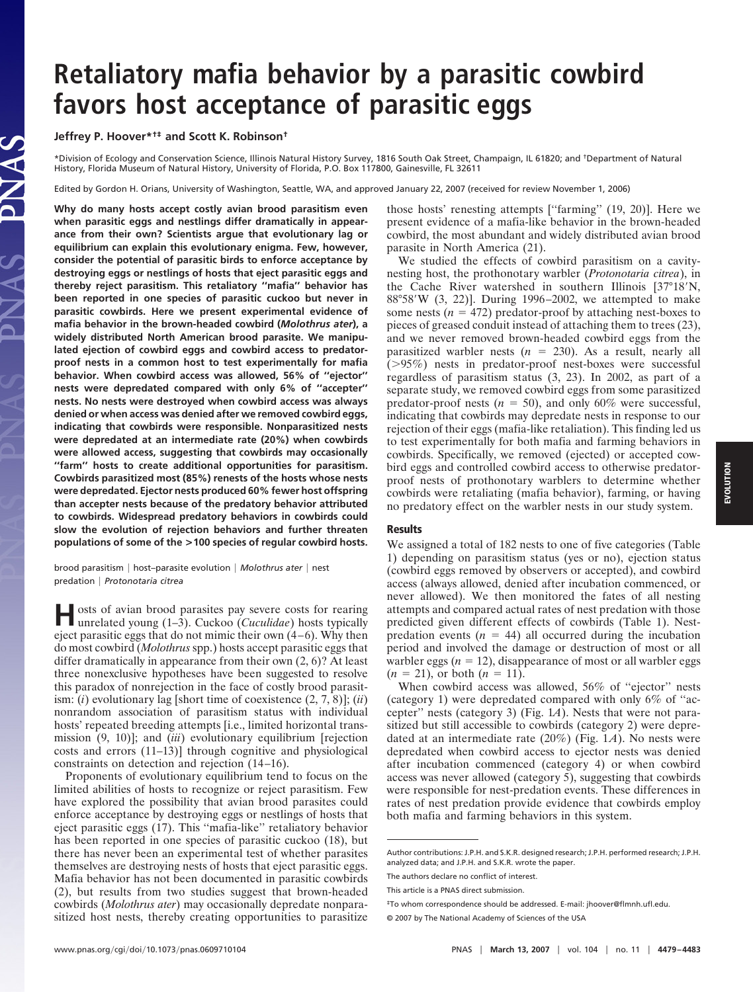## **Retaliatory mafia behavior by a parasitic cowbird favors host acceptance of parasitic eggs**

**Jeffrey P. Hoover\*†‡ and Scott K. Robinson†**

\*Division of Ecology and Conservation Science, Illinois Natural History Survey, 1816 South Oak Street, Champaign, IL 61820; and †Department of Natural History, Florida Museum of Natural History, University of Florida, P.O. Box 117800, Gainesville, FL 32611

Edited by Gordon H. Orians, University of Washington, Seattle, WA, and approved January 22, 2007 (received for review November 1, 2006)

**Why do many hosts accept costly avian brood parasitism even when parasitic eggs and nestlings differ dramatically in appearance from their own? Scientists argue that evolutionary lag or equilibrium can explain this evolutionary enigma. Few, however, consider the potential of parasitic birds to enforce acceptance by destroying eggs or nestlings of hosts that eject parasitic eggs and thereby reject parasitism. This retaliatory ''mafia'' behavior has been reported in one species of parasitic cuckoo but never in parasitic cowbirds. Here we present experimental evidence of mafia behavior in the brown-headed cowbird (***Molothrus ater***), a widely distributed North American brood parasite. We manipulated ejection of cowbird eggs and cowbird access to predatorproof nests in a common host to test experimentally for mafia behavior. When cowbird access was allowed, 56% of ''ejector'' nests were depredated compared with only 6% of ''accepter'' nests. No nests were destroyed when cowbird access was always denied or when access was denied after we removed cowbird eggs, indicating that cowbirds were responsible. Nonparasitized nests were depredated at an intermediate rate (20%) when cowbirds were allowed access, suggesting that cowbirds may occasionally ''farm'' hosts to create additional opportunities for parasitism. Cowbirds parasitized most (85%) renests of the hosts whose nests were depredated. Ejector nests produced 60% fewer host offspring than accepter nests because of the predatory behavior attributed to cowbirds. Widespread predatory behaviors in cowbirds could slow the evolution of rejection behaviors and further threaten populations of some of the >100 species of regular cowbird hosts.**

brood parasitism | host-parasite evolution | Molothrus ater | nest predation *Protonotaria citrea*

**H**osts of avian brood parasites pay severe costs for rearing unrelated young (1–3). Cuckoo (*Cuculidae*) hosts typically eject parasitic eggs that do not mimic their own (4–6). Why then do most cowbird (*Molothrus* spp.) hosts accept parasitic eggs that differ dramatically in appearance from their own (2, 6)? At least three nonexclusive hypotheses have been suggested to resolve this paradox of nonrejection in the face of costly brood parasitism: (*i*) evolutionary lag [short time of coexistence (2, 7, 8)]; (*ii*) nonrandom association of parasitism status with individual hosts' repeated breeding attempts [i.e., limited horizontal transmission (9, 10)]; and (*iii*) evolutionary equilibrium [rejection costs and errors (11–13)] through cognitive and physiological constraints on detection and rejection (14–16).

Proponents of evolutionary equilibrium tend to focus on the limited abilities of hosts to recognize or reject parasitism. Few have explored the possibility that avian brood parasites could enforce acceptance by destroying eggs or nestlings of hosts that eject parasitic eggs (17). This ''mafia-like'' retaliatory behavior has been reported in one species of parasitic cuckoo (18), but there has never been an experimental test of whether parasites themselves are destroying nests of hosts that eject parasitic eggs. Mafia behavior has not been documented in parasitic cowbirds (2), but results from two studies suggest that brown-headed cowbirds (*Molothrus ater*) may occasionally depredate nonparasitized host nests, thereby creating opportunities to parasitize

those hosts' renesting attempts [''farming'' (19, 20)]. Here we present evidence of a mafia-like behavior in the brown-headed cowbird, the most abundant and widely distributed avian brood parasite in North America (21).

We studied the effects of cowbird parasitism on a cavitynesting host, the prothonotary warbler (*Protonotaria citrea*), in the Cache River watershed in southern Illinois  $[37^{\circ}18'$ N, 88°58W (3, 22)]. During 1996–2002, we attempted to make some nests  $(n = 472)$  predator-proof by attaching nest-boxes to pieces of greased conduit instead of attaching them to trees (23), and we never removed brown-headed cowbird eggs from the parasitized warbler nests  $(n = 230)$ . As a result, nearly all (95%) nests in predator-proof nest-boxes were successful regardless of parasitism status (3, 23). In 2002, as part of a separate study, we removed cowbird eggs from some parasitized predator-proof nests  $(n = 50)$ , and only 60% were successful, indicating that cowbirds may depredate nests in response to our rejection of their eggs (mafia-like retaliation). This finding led us to test experimentally for both mafia and farming behaviors in cowbirds. Specifically, we removed (ejected) or accepted cowbird eggs and controlled cowbird access to otherwise predatorproof nests of prothonotary warblers to determine whether cowbirds were retaliating (mafia behavior), farming, or having no predatory effect on the warbler nests in our study system.

## **Results**

We assigned a total of 182 nests to one of five categories (Table 1) depending on parasitism status (yes or no), ejection status (cowbird eggs removed by observers or accepted), and cowbird access (always allowed, denied after incubation commenced, or never allowed). We then monitored the fates of all nesting attempts and compared actual rates of nest predation with those predicted given different effects of cowbirds (Table 1). Nestpredation events  $(n = 44)$  all occurred during the incubation period and involved the damage or destruction of most or all warbler eggs  $(n = 12)$ , disappearance of most or all warbler eggs  $(n = 21)$ , or both  $(n = 11)$ .

When cowbird access was allowed, 56% of ''ejector'' nests (category 1) were depredated compared with only 6% of ''accepter'' nests (category 3) (Fig. 1*A*). Nests that were not parasitized but still accessible to cowbirds (category 2) were depredated at an intermediate rate (20%) (Fig. 1*A*). No nests were depredated when cowbird access to ejector nests was denied after incubation commenced (category 4) or when cowbird access was never allowed (category 5), suggesting that cowbirds were responsible for nest-predation events. These differences in rates of nest predation provide evidence that cowbirds employ both mafia and farming behaviors in this system.

Author contributions: J.P.H. and S.K.R. designed research; J.P.H. performed research; J.P.H. analyzed data; and J.P.H. and S.K.R. wrote the paper.

The authors declare no conflict of interest.

This article is a PNAS direct submission.

<sup>‡</sup>To whom correspondence should be addressed. E-mail: jhoover@flmnh.ufl.edu.

<sup>© 2007</sup> by The National Academy of Sciences of the USA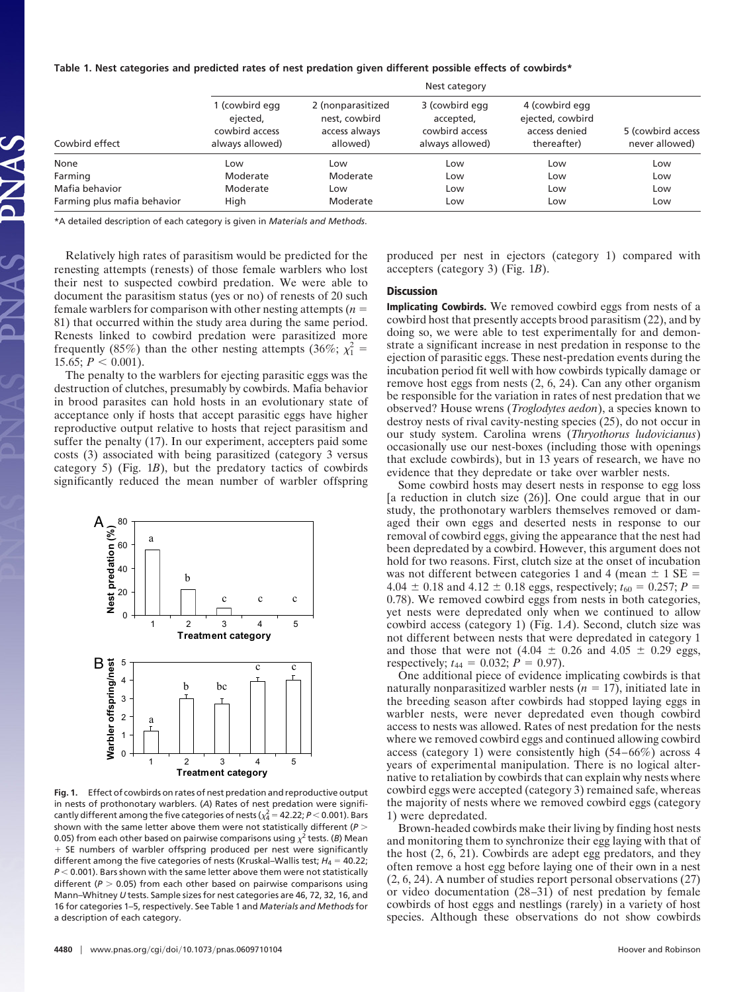| Table 1. Nest categories and predicted rates of nest predation given different possible effects of cowbirds* |  |  |
|--------------------------------------------------------------------------------------------------------------|--|--|
|                                                                                                              |  |  |

| Cowbird effect              |                                                                 |                                                                 |                                                                  |                                                                    |                                     |
|-----------------------------|-----------------------------------------------------------------|-----------------------------------------------------------------|------------------------------------------------------------------|--------------------------------------------------------------------|-------------------------------------|
|                             | 1 (cowbird egg<br>ejected,<br>cowbird access<br>always allowed) | 2 (nonparasitized<br>nest, cowbird<br>access always<br>allowed) | 3 (cowbird egg<br>accepted,<br>cowbird access<br>always allowed) | 4 (cowbird egg<br>ejected, cowbird<br>access denied<br>thereafter) | 5 (cowbird access<br>never allowed) |
| None                        | Low                                                             | Low                                                             | Low                                                              | Low                                                                | Low                                 |
| Farming                     | Moderate                                                        | Moderate                                                        | Low                                                              | Low                                                                | Low                                 |
| Mafia behavior              | Moderate                                                        | Low                                                             | Low                                                              | Low                                                                | Low                                 |
| Farming plus mafia behavior | High                                                            | Moderate                                                        | Low                                                              | Low                                                                | Low                                 |

\*A detailed description of each category is given in *Materials and Methods*.

Relatively high rates of parasitism would be predicted for the renesting attempts (renests) of those female warblers who lost their nest to suspected cowbird predation. We were able to document the parasitism status (yes or no) of renests of 20 such female warblers for comparison with other nesting attempts  $(n =$ 81) that occurred within the study area during the same period. Renests linked to cowbird predation were parasitized more frequently (85%) than the other nesting attempts (36%;  $\chi_1^2$  = 15.65;  $P < 0.001$ ).

The penalty to the warblers for ejecting parasitic eggs was the destruction of clutches, presumably by cowbirds. Mafia behavior in brood parasites can hold hosts in an evolutionary state of acceptance only if hosts that accept parasitic eggs have higher reproductive output relative to hosts that reject parasitism and suffer the penalty (17). In our experiment, accepters paid some costs (3) associated with being parasitized (category 3 versus category 5) (Fig. 1*B*), but the predatory tactics of cowbirds significantly reduced the mean number of warbler offspring



**Fig. 1.** Effect of cowbirds on rates of nest predation and reproductive output in nests of prothonotary warblers. (*A*) Rates of nest predation were significantly different among the five categories of nests ( $\chi^2_4$  = 42.22; *P* < 0.001). Bars shown with the same letter above them were not statistically different (*P* 0.05) from each other based on pairwise comparisons using  $\chi^2$  tests. (*B*) Mean + SE numbers of warbler offspring produced per nest were significantly different among the five categories of nests (Kruskal–Wallis test; *H*<sub>4</sub> = 40.22;  $P < 0.001$ ). Bars shown with the same letter above them were not statistically different  $(P > 0.05)$  from each other based on pairwise comparisons using Mann–Whitney *U* tests. Sample sizes for nest categories are 46, 72, 32, 16, and 16 for categories 1–5, respectively. See Table 1 and *Materials and Methods* for a description of each category.

produced per nest in ejectors (category 1) compared with accepters (category 3) (Fig. 1*B*).

## **Discussion**

**Implicating Cowbirds.** We removed cowbird eggs from nests of a cowbird host that presently accepts brood parasitism (22), and by doing so, we were able to test experimentally for and demonstrate a significant increase in nest predation in response to the ejection of parasitic eggs. These nest-predation events during the incubation period fit well with how cowbirds typically damage or remove host eggs from nests (2, 6, 24). Can any other organism be responsible for the variation in rates of nest predation that we observed? House wrens (*Troglodytes aedon*), a species known to destroy nests of rival cavity-nesting species (25), do not occur in our study system. Carolina wrens (*Thryothorus ludovicianus*) occasionally use our nest-boxes (including those with openings that exclude cowbirds), but in 13 years of research, we have no evidence that they depredate or take over warbler nests.

Some cowbird hosts may desert nests in response to egg loss [a reduction in clutch size (26)]. One could argue that in our study, the prothonotary warblers themselves removed or damaged their own eggs and deserted nests in response to our removal of cowbird eggs, giving the appearance that the nest had been depredated by a cowbird. However, this argument does not hold for two reasons. First, clutch size at the onset of incubation was not different between categories 1 and 4 (mean  $\pm$  1 SE =  $4.04 \pm 0.18$  and  $4.12 \pm 0.18$  eggs, respectively;  $t_{60} = 0.257$ ;  $P =$ 0.78). We removed cowbird eggs from nests in both categories, yet nests were depredated only when we continued to allow cowbird access (category 1) (Fig. 1*A*). Second, clutch size was not different between nests that were depredated in category 1 and those that were not  $(4.04 \pm 0.26$  and  $4.05 \pm 0.29$  eggs, respectively;  $t_{44} = 0.032$ ;  $P = 0.97$ ).

One additional piece of evidence implicating cowbirds is that naturally nonparasitized warbler nests  $(n = 17)$ , initiated late in the breeding season after cowbirds had stopped laying eggs in warbler nests, were never depredated even though cowbird access to nests was allowed. Rates of nest predation for the nests where we removed cowbird eggs and continued allowing cowbird access (category 1) were consistently high (54–66%) across 4 years of experimental manipulation. There is no logical alternative to retaliation by cowbirds that can explain why nests where cowbird eggs were accepted (category 3) remained safe, whereas the majority of nests where we removed cowbird eggs (category 1) were depredated.

Brown-headed cowbirds make their living by finding host nests and monitoring them to synchronize their egg laying with that of the host (2, 6, 21). Cowbirds are adept egg predators, and they often remove a host egg before laying one of their own in a nest (2, 6, 24). A number of studies report personal observations (27) or video documentation (28–31) of nest predation by female cowbirds of host eggs and nestlings (rarely) in a variety of host species. Although these observations do not show cowbirds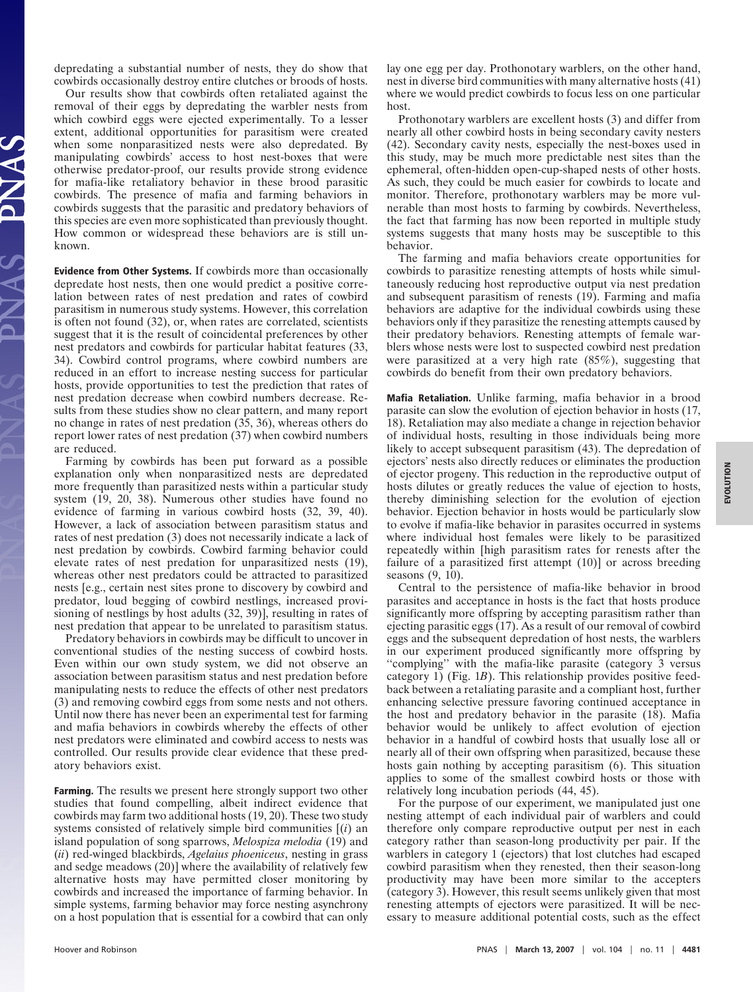depredating a substantial number of nests, they do show that cowbirds occasionally destroy entire clutches or broods of hosts.

Our results show that cowbirds often retaliated against the removal of their eggs by depredating the warbler nests from which cowbird eggs were ejected experimentally. To a lesser extent, additional opportunities for parasitism were created when some nonparasitized nests were also depredated. By manipulating cowbirds' access to host nest-boxes that were otherwise predator-proof, our results provide strong evidence for mafia-like retaliatory behavior in these brood parasitic cowbirds. The presence of mafia and farming behaviors in cowbirds suggests that the parasitic and predatory behaviors of this species are even more sophisticated than previously thought. How common or widespread these behaviors are is still unknown.

**Evidence from Other Systems.** If cowbirds more than occasionally depredate host nests, then one would predict a positive correlation between rates of nest predation and rates of cowbird parasitism in numerous study systems. However, this correlation is often not found (32), or, when rates are correlated, scientists suggest that it is the result of coincidental preferences by other nest predators and cowbirds for particular habitat features (33, 34). Cowbird control programs, where cowbird numbers are reduced in an effort to increase nesting success for particular hosts, provide opportunities to test the prediction that rates of nest predation decrease when cowbird numbers decrease. Results from these studies show no clear pattern, and many report no change in rates of nest predation (35, 36), whereas others do report lower rates of nest predation (37) when cowbird numbers are reduced.

Farming by cowbirds has been put forward as a possible explanation only when nonparasitized nests are depredated more frequently than parasitized nests within a particular study system (19, 20, 38). Numerous other studies have found no evidence of farming in various cowbird hosts (32, 39, 40). However, a lack of association between parasitism status and rates of nest predation (3) does not necessarily indicate a lack of nest predation by cowbirds. Cowbird farming behavior could elevate rates of nest predation for unparasitized nests (19), whereas other nest predators could be attracted to parasitized nests [e.g., certain nest sites prone to discovery by cowbird and predator, loud begging of cowbird nestlings, increased provisioning of nestlings by host adults (32, 39)], resulting in rates of nest predation that appear to be unrelated to parasitism status.

Predatory behaviors in cowbirds may be difficult to uncover in conventional studies of the nesting success of cowbird hosts. Even within our own study system, we did not observe an association between parasitism status and nest predation before manipulating nests to reduce the effects of other nest predators (3) and removing cowbird eggs from some nests and not others. Until now there has never been an experimental test for farming and mafia behaviors in cowbirds whereby the effects of other nest predators were eliminated and cowbird access to nests was controlled. Our results provide clear evidence that these predatory behaviors exist.

**Farming.** The results we present here strongly support two other studies that found compelling, albeit indirect evidence that cowbirds may farm two additional hosts (19, 20). These two study systems consisted of relatively simple bird communities [(*i*) an island population of song sparrows, *Melospiza melodia* (19) and (*ii*) red-winged blackbirds, *Agelaius phoeniceus*, nesting in grass and sedge meadows (20)] where the availability of relatively few alternative hosts may have permitted closer monitoring by cowbirds and increased the importance of farming behavior. In simple systems, farming behavior may force nesting asynchrony on a host population that is essential for a cowbird that can only

lay one egg per day. Prothonotary warblers, on the other hand, nest in diverse bird communities with many alternative hosts (41) where we would predict cowbirds to focus less on one particular host.

Prothonotary warblers are excellent hosts (3) and differ from nearly all other cowbird hosts in being secondary cavity nesters (42). Secondary cavity nests, especially the nest-boxes used in this study, may be much more predictable nest sites than the ephemeral, often-hidden open-cup-shaped nests of other hosts. As such, they could be much easier for cowbirds to locate and monitor. Therefore, prothonotary warblers may be more vulnerable than most hosts to farming by cowbirds. Nevertheless, the fact that farming has now been reported in multiple study systems suggests that many hosts may be susceptible to this behavior.

The farming and mafia behaviors create opportunities for cowbirds to parasitize renesting attempts of hosts while simultaneously reducing host reproductive output via nest predation and subsequent parasitism of renests (19). Farming and mafia behaviors are adaptive for the individual cowbirds using these behaviors only if they parasitize the renesting attempts caused by their predatory behaviors. Renesting attempts of female warblers whose nests were lost to suspected cowbird nest predation were parasitized at a very high rate (85%), suggesting that cowbirds do benefit from their own predatory behaviors.

**Mafia Retaliation.** Unlike farming, mafia behavior in a brood parasite can slow the evolution of ejection behavior in hosts (17, 18). Retaliation may also mediate a change in rejection behavior of individual hosts, resulting in those individuals being more likely to accept subsequent parasitism  $(43)$ . The depredation of ejectors' nests also directly reduces or eliminates the production of ejector progeny. This reduction in the reproductive output of hosts dilutes or greatly reduces the value of ejection to hosts, thereby diminishing selection for the evolution of ejection behavior. Ejection behavior in hosts would be particularly slow to evolve if mafia-like behavior in parasites occurred in systems where individual host females were likely to be parasitized repeatedly within [high parasitism rates for renests after the failure of a parasitized first attempt (10)] or across breeding seasons (9, 10).

Central to the persistence of mafia-like behavior in brood parasites and acceptance in hosts is the fact that hosts produce significantly more offspring by accepting parasitism rather than ejecting parasitic eggs (17). As a result of our removal of cowbird eggs and the subsequent depredation of host nests, the warblers in our experiment produced significantly more offspring by ''complying'' with the mafia-like parasite (category 3 versus category 1) (Fig. 1*B*). This relationship provides positive feedback between a retaliating parasite and a compliant host, further enhancing selective pressure favoring continued acceptance in the host and predatory behavior in the parasite (18). Mafia behavior would be unlikely to affect evolution of ejection behavior in a handful of cowbird hosts that usually lose all or nearly all of their own offspring when parasitized, because these hosts gain nothing by accepting parasitism (6). This situation applies to some of the smallest cowbird hosts or those with relatively long incubation periods (44, 45).

For the purpose of our experiment, we manipulated just one nesting attempt of each individual pair of warblers and could therefore only compare reproductive output per nest in each category rather than season-long productivity per pair. If the warblers in category 1 (ejectors) that lost clutches had escaped cowbird parasitism when they renested, then their season-long productivity may have been more similar to the accepters (category 3). However, this result seems unlikely given that most renesting attempts of ejectors were parasitized. It will be necessary to measure additional potential costs, such as the effect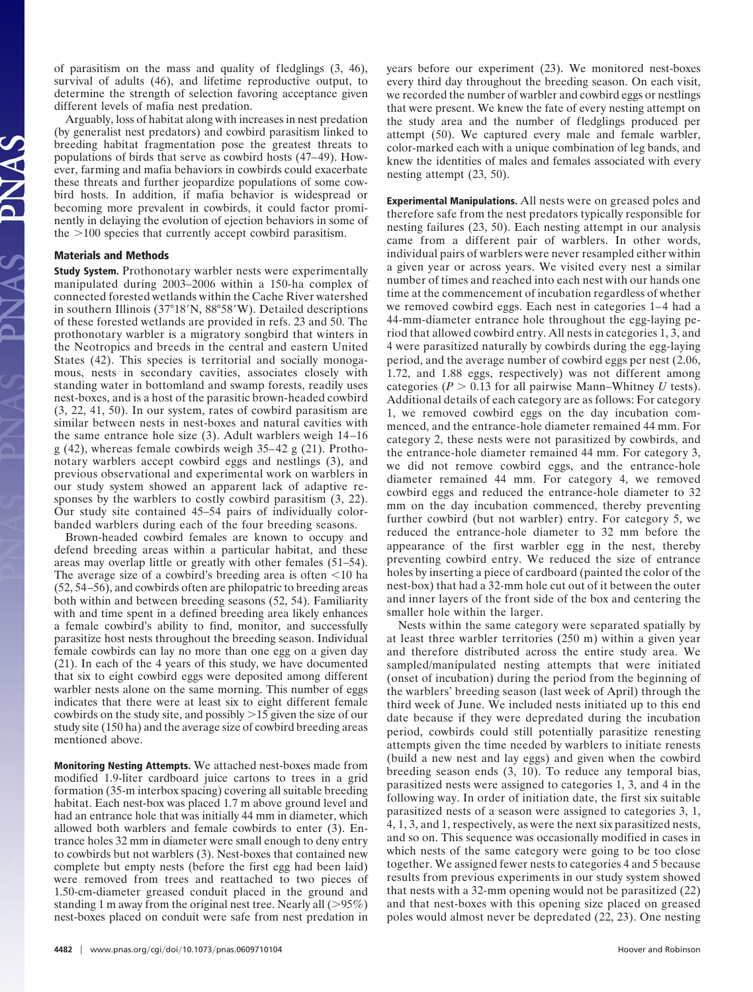of parasitism on the mass and quality of fledglings (3, 46), survival of adults (46), and lifetime reproductive output, to determine the strength of selection favoring acceptance given different levels of mafia nest predation.

Arguably, loss of habitat along with increases in nest predation (by generalist nest predators) and cowbird parasitism linked to breeding habitat fragmentation pose the greatest threats to populations of birds that serve as cowbird hosts (47–49). However, farming and mafia behaviors in cowbirds could exacerbate these threats and further jeopardize populations of some cowbird hosts. In addition, if mafia behavior is widespread or becoming more prevalent in cowbirds, it could factor prominently in delaying the evolution of ejection behaviors in some of the  $>100$  species that currently accept cowbird parasitism.

## **Materials and Methods**

**Study System.** Prothonotary warbler nests were experimentally manipulated during 2003–2006 within a 150-ha complex of connected forested wetlands within the Cache River watershed in southern Illinois (37°18'N, 88°58'W). Detailed descriptions of these forested wetlands are provided in refs. 23 and 50. The prothonotary warbler is a migratory songbird that winters in the Neotropics and breeds in the central and eastern United States (42). This species is territorial and socially monogamous, nests in secondary cavities, associates closely with standing water in bottomland and swamp forests, readily uses nest-boxes, and is a host of the parasitic brown-headed cowbird (3, 22, 41, 50). In our system, rates of cowbird parasitism are similar between nests in nest-boxes and natural cavities with the same entrance hole size (3). Adult warblers weigh 14–16 g (42), whereas female cowbirds weigh 35–42 g (21). Prothonotary warblers accept cowbird eggs and nestlings (3), and previous observational and experimental work on warblers in our study system showed an apparent lack of adaptive responses by the warblers to costly cowbird parasitism (3, 22). Our study site contained 45–54 pairs of individually colorbanded warblers during each of the four breeding seasons.

Brown-headed cowbird females are known to occupy and defend breeding areas within a particular habitat, and these areas may overlap little or greatly with other females (51–54). The average size of a cowbird's breeding area is often  $\leq 10$  ha (52, 54–56), and cowbirds often are philopatric to breeding areas both within and between breeding seasons (52, 54). Familiarity with and time spent in a defined breeding area likely enhances a female cowbird's ability to find, monitor, and successfully parasitize host nests throughout the breeding season. Individual female cowbirds can lay no more than one egg on a given day (21). In each of the 4 years of this study, we have documented that six to eight cowbird eggs were deposited among different warbler nests alone on the same morning. This number of eggs indicates that there were at least six to eight different female cowbirds on the study site, and possibly  $>15$  given the size of our study site (150 ha) and the average size of cowbird breeding areas mentioned above.

**Monitoring Nesting Attempts.** We attached nest-boxes made from modified 1.9-liter cardboard juice cartons to trees in a grid formation (35-m interbox spacing) covering all suitable breeding habitat. Each nest-box was placed 1.7 m above ground level and had an entrance hole that was initially 44 mm in diameter, which allowed both warblers and female cowbirds to enter (3). Entrance holes 32 mm in diameter were small enough to deny entry to cowbirds but not warblers (3). Nest-boxes that contained new complete but empty nests (before the first egg had been laid) were removed from trees and reattached to two pieces of 1.50-cm-diameter greased conduit placed in the ground and standing 1 m away from the original nest tree. Nearly all  $(>95\%)$ nest-boxes placed on conduit were safe from nest predation in

years before our experiment (23). We monitored nest-boxes every third day throughout the breeding season. On each visit, we recorded the number of warbler and cowbird eggs or nestlings that were present. We knew the fate of every nesting attempt on the study area and the number of fledglings produced per attempt (50). We captured every male and female warbler, color-marked each with a unique combination of leg bands, and knew the identities of males and females associated with every nesting attempt (23, 50).

**Experimental Manipulations.** All nests were on greased poles and therefore safe from the nest predators typically responsible for nesting failures (23, 50). Each nesting attempt in our analysis came from a different pair of warblers. In other words, individual pairs of warblers were never resampled either within a given year or across years. We visited every nest a similar number of times and reached into each nest with our hands one time at the commencement of incubation regardless of whether we removed cowbird eggs. Each nest in categories 1–4 had a 44-mm-diameter entrance hole throughout the egg-laying period that allowed cowbird entry. All nests in categories 1, 3, and 4 were parasitized naturally by cowbirds during the egg-laying period, and the average number of cowbird eggs per nest (2.06, 1.72, and 1.88 eggs, respectively) was not different among categories ( $P > 0.13$  for all pairwise Mann–Whitney *U* tests). Additional details of each category are as follows: For category 1, we removed cowbird eggs on the day incubation commenced, and the entrance-hole diameter remained 44 mm. For category 2, these nests were not parasitized by cowbirds, and the entrance-hole diameter remained 44 mm. For category 3, we did not remove cowbird eggs, and the entrance-hole diameter remained 44 mm. For category 4, we removed cowbird eggs and reduced the entrance-hole diameter to 32 mm on the day incubation commenced, thereby preventing further cowbird (but not warbler) entry. For category 5, we reduced the entrance-hole diameter to 32 mm before the appearance of the first warbler egg in the nest, thereby preventing cowbird entry. We reduced the size of entrance holes by inserting a piece of cardboard (painted the color of the nest-box) that had a 32-mm hole cut out of it between the outer and inner layers of the front side of the box and centering the smaller hole within the larger.

Nests within the same category were separated spatially by at least three warbler territories (250 m) within a given year and therefore distributed across the entire study area. We sampled/manipulated nesting attempts that were initiated (onset of incubation) during the period from the beginning of the warblers' breeding season (last week of April) through the third week of June. We included nests initiated up to this end date because if they were depredated during the incubation period, cowbirds could still potentially parasitize renesting attempts given the time needed by warblers to initiate renests (build a new nest and lay eggs) and given when the cowbird breeding season ends (3, 10). To reduce any temporal bias, parasitized nests were assigned to categories 1, 3, and 4 in the following way. In order of initiation date, the first six suitable parasitized nests of a season were assigned to categories 3, 1, 4, 1, 3, and 1, respectively, as were the next six parasitized nests, and so on. This sequence was occasionally modified in cases in which nests of the same category were going to be too close together. We assigned fewer nests to categories 4 and 5 because results from previous experiments in our study system showed that nests with a 32-mm opening would not be parasitized (22) and that nest-boxes with this opening size placed on greased poles would almost never be depredated (22, 23). One nesting